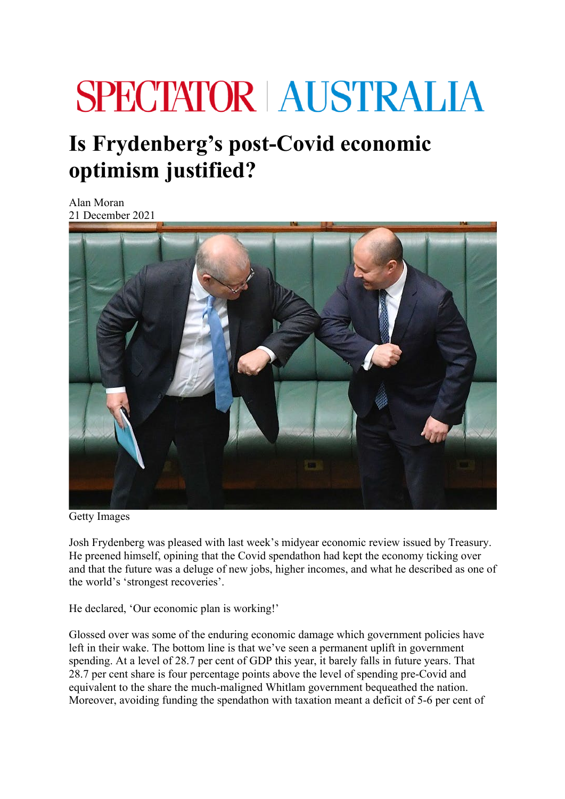## **SPECTATOR AUSTRALIA**

## **Is Frydenberg's post-Covid economic optimism justified?**

Alan Moran 21 December 2021



Getty Images

Josh Frydenberg was pleased with last week's midyear economic review issued by Treasury. He preened himself, opining that the Covid spendathon had kept the economy ticking over and that the future was a deluge of new jobs, higher incomes, and what he described as one of the world's 'strongest recoveries'.

He declared, 'Our economic plan is working!'

Glossed over was some of the enduring economic damage which government policies have left in their wake. The bottom line is that we've seen a permanent uplift in government spending. At a level of 28.7 per cent of GDP this year, it barely falls in future years. That 28.7 per cent share is four percentage points above the level of spending pre-Covid and equivalent to the share the much-maligned Whitlam government bequeathed the nation. Moreover, avoiding funding the spendathon with taxation meant a deficit of 5-6 per cent of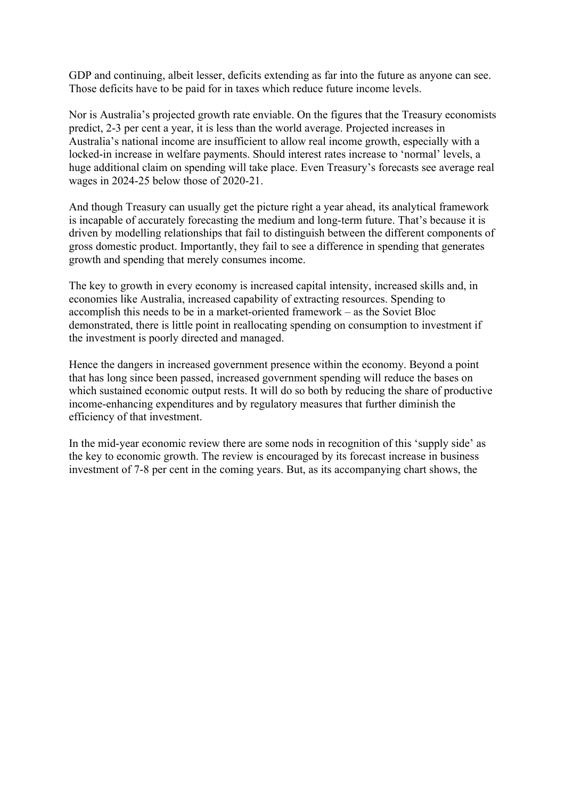GDP and continuing, albeit lesser, deficits extending as far into the future as anyone can see. Those deficits have to be paid for in taxes which reduce future income levels.

Nor is Australia's projected growth rate enviable. On the figures that the Treasury economists predict, 2-3 per cent a year, it is less than the world average. Projected increases in Australia's national income are insufficient to allow real income growth, especially with a locked-in increase in welfare payments. Should interest rates increase to 'normal' levels, a huge additional claim on spending will take place. Even Treasury's forecasts see average real wages in 2024-25 below those of 2020-21.

And though Treasury can usually get the picture right a year ahead, its analytical framework is incapable of accurately forecasting the medium and long-term future. That's because it is driven by modelling relationships that fail to distinguish between the different components of gross domestic product. Importantly, they fail to see a difference in spending that generates growth and spending that merely consumes income.

The key to growth in every economy is increased capital intensity, increased skills and, in economies like Australia, increased capability of extracting resources. Spending to accomplish this needs to be in a market-oriented framework – as the Soviet Bloc demonstrated, there is little point in reallocating spending on consumption to investment if the investment is poorly directed and managed.

Hence the dangers in increased government presence within the economy. Beyond a point that has long since been passed, increased government spending will reduce the bases on which sustained economic output rests. It will do so both by reducing the share of productive income-enhancing expenditures and by regulatory measures that further diminish the efficiency of that investment.

In the mid-year economic review there are some nods in recognition of this 'supply side' as the key to economic growth. The review is encouraged by its forecast increase in business investment of 7-8 per cent in the coming years. But, as its accompanying chart shows, the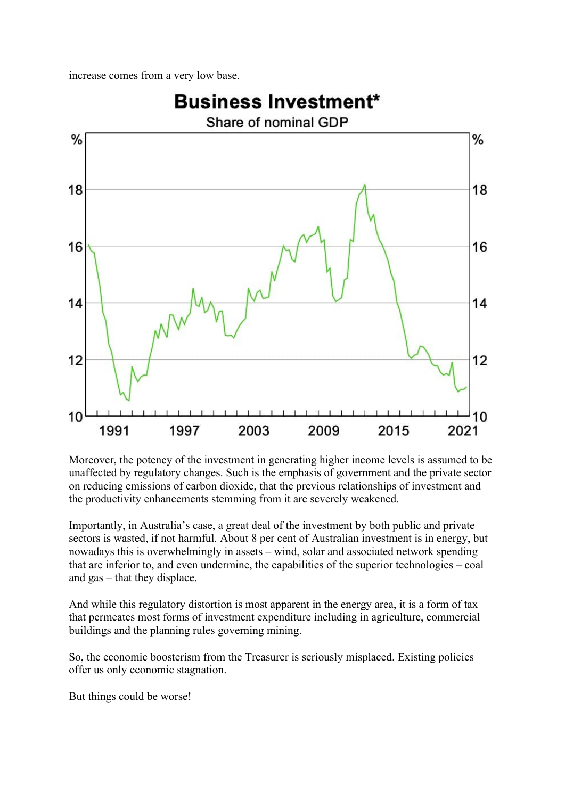increase comes from a very low base.



Moreover, the potency of the investment in generating higher income levels is assumed to be unaffected by regulatory changes. Such is the emphasis of government and the private sector on reducing emissions of carbon dioxide, that the previous relationships of investment and the productivity enhancements stemming from it are severely weakened.

Importantly, in Australia's case, a great deal of the investment by both public and private sectors is wasted, if not harmful. About 8 per cent of Australian investment is in energy, but nowadays this is overwhelmingly in assets – wind, solar and associated network spending that are inferior to, and even undermine, the capabilities of the superior technologies – coal and gas – that they displace.

And while this regulatory distortion is most apparent in the energy area, it is a form of tax that permeates most forms of investment expenditure including in agriculture, commercial buildings and the planning rules governing mining.

So, the economic boosterism from the Treasurer is seriously misplaced. Existing policies offer us only economic stagnation.

But things could be worse!